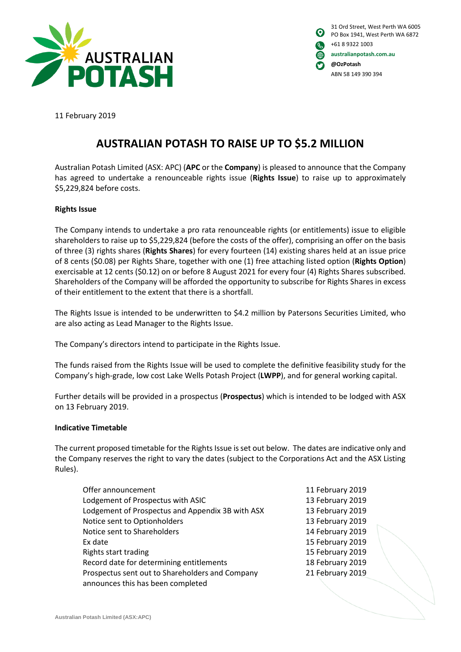

| $\boldsymbol{\Omega}$ | 31 Ord Street, West Perth WA 6005<br>PO Box 1941, West Perth WA 6872 |
|-----------------------|----------------------------------------------------------------------|
| ור                    | +61 8 9322 1003                                                      |
| ങ                     | australianpotash.com.au                                              |
| O                     | @OzPotash                                                            |
|                       | ABN 58 149 390 394                                                   |

11 February 2019

# **AUSTRALIAN POTASH TO RAISE UP TO \$5.2 MILLION**

Australian Potash Limited (ASX: APC) (**APC** or the **Company**) is pleased to announce that the Company has agreed to undertake a renounceable rights issue (**Rights Issue**) to raise up to approximately \$5,229,824 before costs.

## **Rights Issue**

The Company intends to undertake a pro rata renounceable rights (or entitlements) issue to eligible shareholders to raise up to \$5,229,824 (before the costs of the offer), comprising an offer on the basis of three (3) rights shares (**Rights Shares**) for every fourteen (14) existing shares held at an issue price of 8 cents (\$0.08) per Rights Share, together with one (1) free attaching listed option (**Rights Option**) exercisable at 12 cents (\$0.12) on or before 8 August 2021 for every four (4) Rights Shares subscribed. Shareholders of the Company will be afforded the opportunity to subscribe for Rights Shares in excess of their entitlement to the extent that there is a shortfall.

The Rights Issue is intended to be underwritten to \$4.2 million by Patersons Securities Limited, who are also acting as Lead Manager to the Rights Issue.

The Company's directors intend to participate in the Rights Issue.

The funds raised from the Rights Issue will be used to complete the definitive feasibility study for the Company's high-grade, low cost Lake Wells Potash Project (**LWPP**), and for general working capital.

Further details will be provided in a prospectus (**Prospectus**) which is intended to be lodged with ASX on 13 February 2019.

### **Indicative Timetable**

The current proposed timetable for the Rights Issue is set out below. The dates are indicative only and the Company reserves the right to vary the dates (subject to the Corporations Act and the ASX Listing Rules).

| Offer announcement                               |
|--------------------------------------------------|
| Lodgement of Prospectus with ASIC                |
| Lodgement of Prospectus and Appendix 3B with ASX |
| Notice sent to Optionholders                     |
| Notice sent to Shareholders                      |
| Ex date                                          |
| Rights start trading                             |
| Record date for determining entitlements         |
| Prospectus sent out to Shareholders and Company  |
| announces this has been completed                |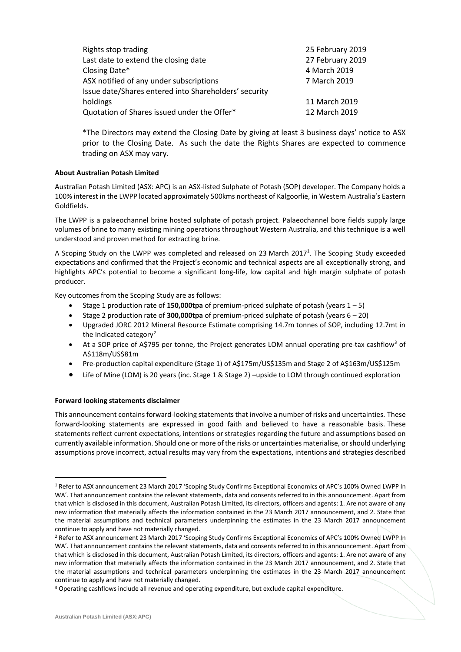| Rights stop trading                                   | 25 February 2019 |
|-------------------------------------------------------|------------------|
| Last date to extend the closing date                  | 27 February 2019 |
| Closing Date*                                         | 4 March 2019     |
| ASX notified of any under subscriptions               | 7 March 2019     |
| Issue date/Shares entered into Shareholders' security |                  |
| holdings                                              | 11 March 2019    |
| Quotation of Shares issued under the Offer*           | 12 March 2019    |
|                                                       |                  |

\*The Directors may extend the Closing Date by giving at least 3 business days' notice to ASX prior to the Closing Date. As such the date the Rights Shares are expected to commence trading on ASX may vary.

#### **About Australian Potash Limited**

Australian Potash Limited (ASX: APC) is an ASX-listed Sulphate of Potash (SOP) developer. The Company holds a 100% interest in the LWPP located approximately 500kms northeast of Kalgoorlie, in Western Australia's Eastern Goldfields.

The LWPP is a palaeochannel brine hosted sulphate of potash project. Palaeochannel bore fields supply large volumes of brine to many existing mining operations throughout Western Australia, and this technique is a well understood and proven method for extracting brine.

A Scoping Study on the LWPP was completed and released on 23 March 2017<sup>1</sup>. The Scoping Study exceeded expectations and confirmed that the Project's economic and technical aspects are all exceptionally strong, and highlights APC's potential to become a significant long-life, low capital and high margin sulphate of potash producer.

Key outcomes from the Scoping Study are as follows:

- Stage 1 production rate of **150,000tpa** of premium-priced sulphate of potash (years  $1 5$ )
- Stage 2 production rate of **300,000tpa** of premium-priced sulphate of potash (years 6 20)
- Upgraded JORC 2012 Mineral Resource Estimate comprising 14.7m tonnes of SOP, including 12.7mt in the Indicated category<sup>2</sup>
- At a SOP price of A\$795 per tonne, the Project generates LOM annual operating pre-tax cashflow<sup>3</sup> of A\$118m/US\$81m
- Pre-production capital expenditure (Stage 1) of A\$175m/US\$135m and Stage 2 of A\$163m/US\$125m
- Life of Mine (LOM) is 20 years (inc. Stage 1 & Stage 2) –upside to LOM through continued exploration

#### **Forward looking statements disclaimer**

This announcement contains forward-looking statements that involve a number of risks and uncertainties. These forward-looking statements are expressed in good faith and believed to have a reasonable basis. These statements reflect current expectations, intentions or strategies regarding the future and assumptions based on currently available information. Should one or more of the risks or uncertainties materialise, or should underlying assumptions prove incorrect, actual results may vary from the expectations, intentions and strategies described

 $\overline{a}$ 

<sup>1</sup> Refer to ASX announcement 23 March 2017 'Scoping Study Confirms Exceptional Economics of APC's 100% Owned LWPP In WA'. That announcement contains the relevant statements, data and consents referred to in this announcement. Apart from that which is disclosed in this document, Australian Potash Limited, its directors, officers and agents: 1. Are not aware of any new information that materially affects the information contained in the 23 March 2017 announcement, and 2. State that the material assumptions and technical parameters underpinning the estimates in the 23 March 2017 announcement continue to apply and have not materially changed.

<sup>2</sup> Refer to ASX announcement 23 March 2017 'Scoping Study Confirms Exceptional Economics of APC's 100% Owned LWPP In WA'. That announcement contains the relevant statements, data and consents referred to in this announcement. Apart from that which is disclosed in this document, Australian Potash Limited, its directors, officers and agents: 1. Are not aware of any new information that materially affects the information contained in the 23 March 2017 announcement, and 2. State that the material assumptions and technical parameters underpinning the estimates in the 23 March 2017 announcement continue to apply and have not materially changed.

<sup>&</sup>lt;sup>3</sup> Operating cashflows include all revenue and operating expenditure, but exclude capital expenditure.